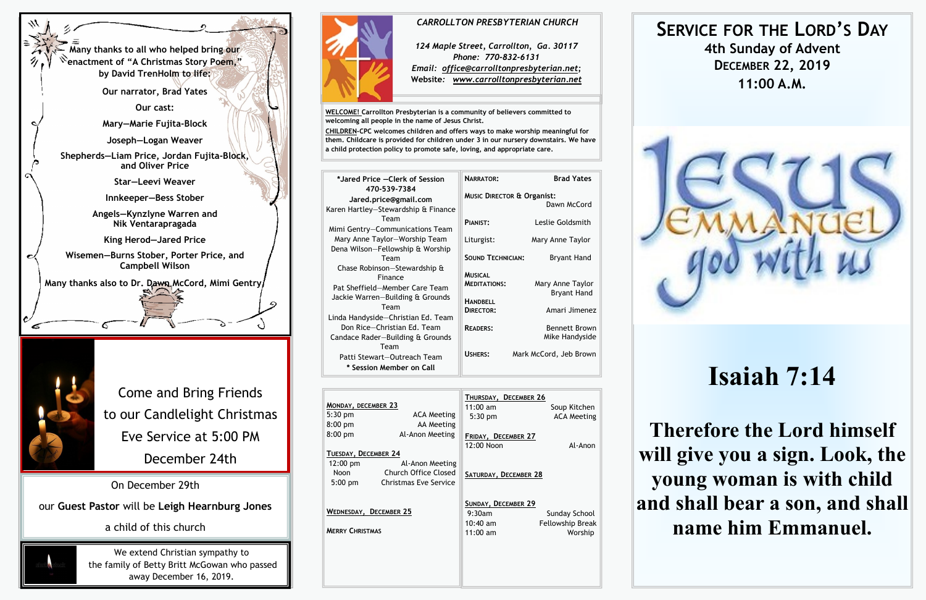| MONDAY, DECEMBER 23<br>$5:30$ pm<br>$8:00$ pm | <b>ACA Meeting</b><br>AA Meeting                                        | THURSDAY, DECEMBER 26<br>$11:00$ am<br>5:30 pm | Soup Kitchen<br><b>ACA Meeting</b> |
|-----------------------------------------------|-------------------------------------------------------------------------|------------------------------------------------|------------------------------------|
| $8:00$ pm<br>TUESDAY, DECEMBER 24             | Al-Anon Meeting                                                         | FRIDAY, DECEMBER 27<br>12:00 Noon              | Al-Anon                            |
| $12:00 \text{ pm}$<br>Noon<br>$5:00$ pm       | Al-Anon Meeting<br>Church Office Closed<br><b>Christmas Eve Service</b> | SATURDAY, DECEMBER 28                          |                                    |
| WEDNESDAY, DECEMBER 25                        |                                                                         | SUNDAY, DECEMBER 29<br>9:30am<br>$10:40$ am    | Sunday School<br>Fellowship Break  |
| <b>MERRY CHRISTMAS</b>                        |                                                                         | $11:00$ am                                     | Worship                            |



**WELCOME! Carrollton Presbyterian is a community of believers committed to welcoming all people in the name of Jesus Christ.**

**CHILDREN-CPC welcomes children and offers ways to make worship meaningful for them. Childcare is provided for children under 3 in our nursery downstairs. We have a child protection policy to promote safe, loving, and appropriate care.** 

| *Jared Price - Clerk of Session<br>470-539-7384<br>Jared.price@gmail.com<br>Karen Hartley-Stewardship & Finance       | <b>NARRATOR:</b><br><b>MUSIC DIRECTOR &amp; Organist:</b> | <b>Brad Yates</b><br>Dawn McCord       |
|-----------------------------------------------------------------------------------------------------------------------|-----------------------------------------------------------|----------------------------------------|
| Team<br>Mimi Gentry-Communications Team                                                                               | PIANIST:                                                  | Leslie Goldsmith                       |
| Mary Anne Taylor-Worship Team<br>Dena Wilson-Fellowship & Worship                                                     | Liturgist:                                                | Mary Anne Taylor                       |
| Team                                                                                                                  | <b>SOUND TECHNICIAN:</b>                                  | <b>Bryant Hand</b>                     |
| Chase Robinson-Stewardship &<br>Finance<br>Pat Sheffield-Member Care Team<br>Jackie Warren-Building & Grounds<br>Team | <b>MUSICAL</b><br><b>MEDITATIONS:</b><br><b>HANDBELL</b>  | Mary Anne Taylor<br><b>Bryant Hand</b> |
| Linda Handyside-Christian Ed. Team                                                                                    | DIRECTOR:                                                 | Amari Jimenez                          |
| Don Rice-Christian Ed. Team<br>Candace Rader-Building & Grounds                                                       | <b>READERS:</b>                                           | Bennett Brown<br>Mike Handyside        |
| Team<br>Patti Stewart-Outreach Team<br>* Session Member on Call                                                       | USHERS:                                                   | Mark McCord, Jeb Brown                 |





# **SERVICE FOR THE LORD'S DAY 4th Sunday of Advent DECEMBER 22, 2019 11:00 A.M.**

# **Isaiah 7:14**

**Therefore the Lord himself will give you a sign. Look, the young woman is with child and shall bear a son, and shall name him Emmanuel.**

#### *CARROLLTON PRESBYTERIAN CHURCH*

*124 Maple Street, Carrollton, Ga. 30117 Phone: 770-832-6131 Email: office@carrolltonpresbyterian.net;* **Website***: www.carrolltonpresbyterian.net*

Come and Bring Friends to our Candlelight Christmas Eve Service at 5:00 PM December 24th

On December 29th

our **Guest Pastor** will be **Leigh Hearnburg Jones**

# a child of this church



We extend Christian sympathy to the family of Betty Britt McGowan who passed away December 16, 2019.